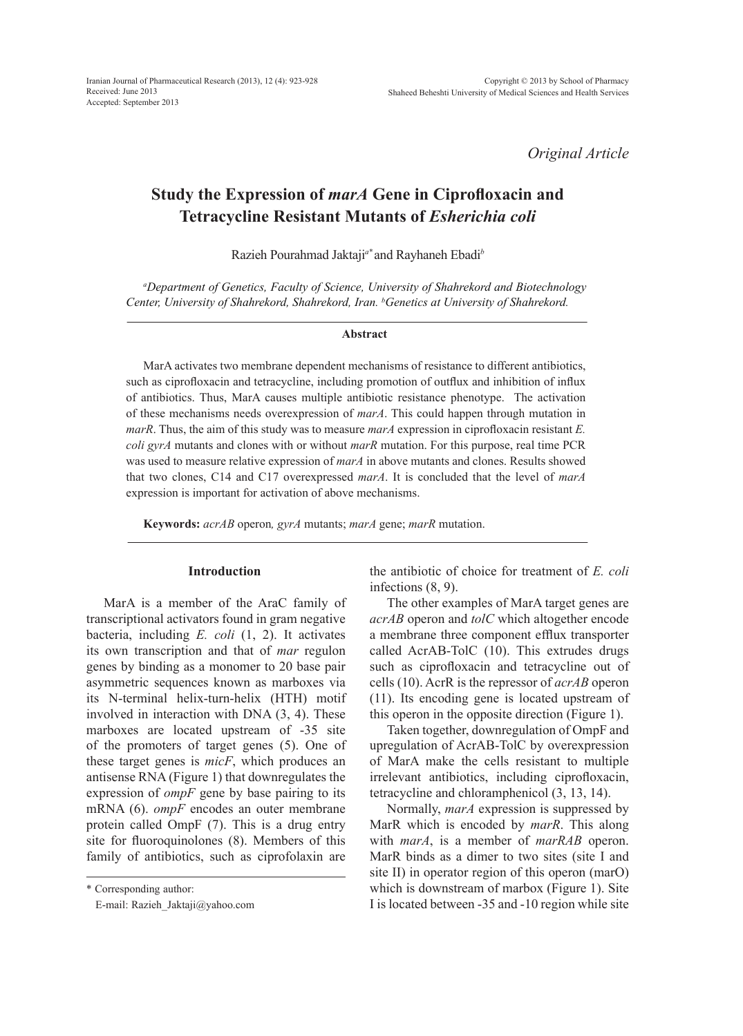*Original Article*

# **Study the Expression of** *marA* **Gene in Ciprofloxacin and Tetracycline Resistant Mutants of** *Esherichia coli*

Razieh Pourahmad Jaktaji*a\** and Rayhaneh Ebadi*<sup>b</sup>*

*a Department of Genetics, Faculty of Science, University of Shahrekord and Biotechnology Center, University of Shahrekord, Shahrekord, Iran. b Genetics at University of Shahrekord.* 

### **Abstract**

MarA activates two membrane dependent mechanisms of resistance to different antibiotics, such as ciprofloxacin and tetracycline, including promotion of outflux and inhibition of influx of antibiotics. Thus, MarA causes multiple antibiotic resistance phenotype. The activation of these mechanisms needs overexpression of *marA*. This could happen through mutation in *marR*. Thus, the aim of this study was to measure *marA* expression in ciprofloxacin resistant *E. coli gyrA* mutants and clones with or without *marR* mutation. For this purpose, real time PCR was used to measure relative expression of *marA* in above mutants and clones. Results showed that two clones, C14 and C17 overexpressed *marA*. It is concluded that the level of *marA* expression is important for activation of above mechanisms.

**Keywords:** *acrAB* operon*, gyrA* mutants; *marA* gene; *marR* mutation.

# **Introduction**

MarA is a member of the AraC family of transcriptional activators found in gram negative bacteria, including *E. coli* (1, 2). It activates its own transcription and that of *mar* regulon genes by binding as a monomer to 20 base pair asymmetric sequences known as marboxes via its N-terminal helix-turn-helix (HTH) motif involved in interaction with DNA (3, 4). These marboxes are located upstream of -35 site of the promoters of target genes (5). One of these target genes is *micF*, which produces an antisense RNA (Figure 1) that downregulates the expression of *ompF* gene by base pairing to its mRNA (6). *ompF* encodes an outer membrane protein called OmpF (7). This is a drug entry site for fluoroquinolones (8). Members of this family of antibiotics, such as ciprofolaxin are

\* Corresponding author:

E-mail: Razieh\_Jaktaji@yahoo.com

the antibiotic of choice for treatment of *E. coli* infections (8, 9).

The other examples of MarA target genes are *acrAB* operon and *tolC* which altogether encode a membrane three component efflux transporter called AcrAB-TolC (10). This extrudes drugs such as ciprofloxacin and tetracycline out of cells (10). AcrR is the repressor of *acrAB* operon (11). Its encoding gene is located upstream of this operon in the opposite direction (Figure 1).

Taken together, downregulation of OmpF and upregulation of AcrAB-TolC by overexpression of MarA make the cells resistant to multiple irrelevant antibiotics, including ciprofloxacin, tetracycline and chloramphenicol (3, 13, 14).

Normally, *marA* expression is suppressed by MarR which is encoded by *marR*. This along with *marA*, is a member of *marRAB* operon. MarR binds as a dimer to two sites (site I and site II) in operator region of this operon (marO) which is downstream of marbox (Figure 1). Site I is located between -35 and -10 region while site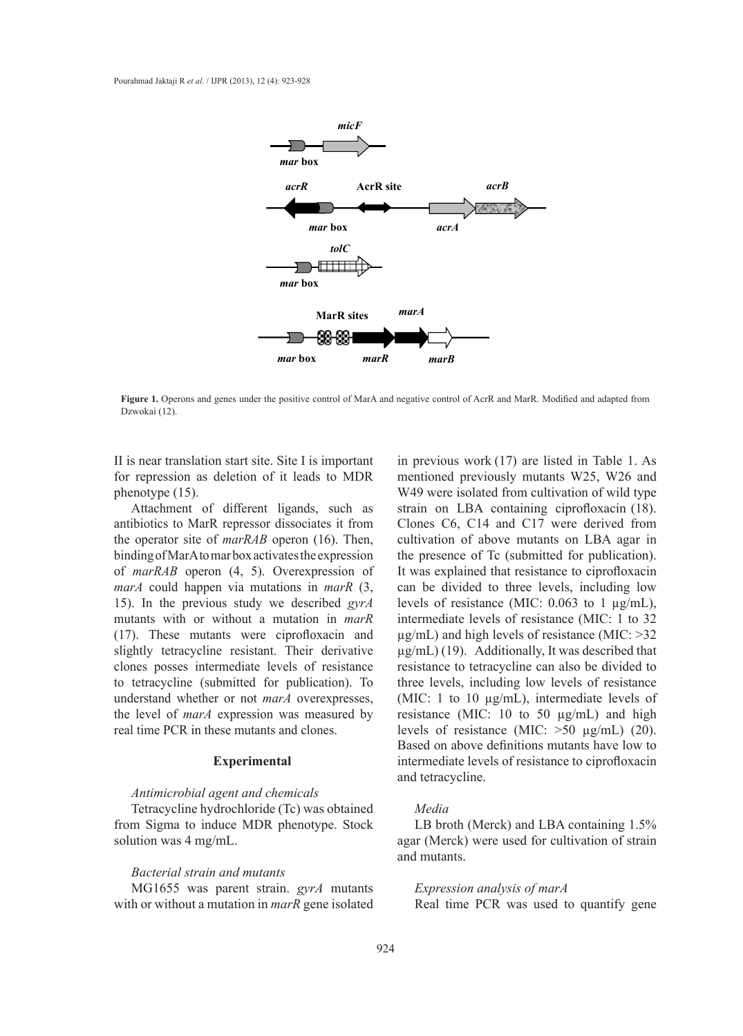

Figure 1. Operons and genes under the positive control of MarA and negative control of AcrR and MarR. Modified and adapted from Dzwokai (12).

II is near translation start site. Site I is important for repression as deletion of it leads to MDR phenotype (15). as determined in reads to  $M_{\rm D}$  represents its  $M_{\rm D}$ from the operator site of *marRAB* operon (16).

Attachment of different ligands, such as antibiotics to MarR repressor dissociates it from the operator site of *marRAB* operon (16). Then, binding of MarA to mar box activates the expression of *marRAB* operon (4, 5). Overexpression of *marA* could happen via mutations in *marR* (3, 15). In the previous study we described *gyrA* mutants with or without a mutation in *marR* (17). These mutants were ciprofloxacin and slightly tetracycline resistant. Their derivative clones posses intermediate levels of resistance to tetracycline (submitted for publication). To **Experimental**  understand whether or not *marA* overexpresses, the level of *marA* expression was measured by real time PCR in these mutants and clones. levels of restrictionrain repressor **a**issociates it from  $\sum_{i=1}^{\infty}$   $\sum_{i=1}^{\infty}$   $\sum_{i=1}^{\infty}$   $\sum_{i=1}^{\infty}$   $\sum_{i=1}^{\infty}$ nutants were cipronoxacin and

# **Experimental**

## *Antimicrobial agent and chemicals*

Tetracycline hydrochloride (Tc) was obtained from Sigma to induce MDR phenotype. Stock solution was 4 mg/mL.

## *Bacterial strain and mutants*

MG1655 was parent strain. *gyrA* mutants with or without a mutation in *marR* gene isolated in previous work (17) are listed in Table 1. As mentioned previously mutants W25, W26 and W49 were isolated from cultivation of wild type strain on LBA containing ciprofloxacin (18). Clones C6, C14 and C17 were derived from cultivation of above mutants on LBA agar in the presence of Tc (submitted for publication). It was explained that resistance to ciprofloxacin can be divided to three levels, including low levels of resistance (MIC:  $0.063$  to 1  $\mu$ g/mL), intermediate levels of resistance (MIC:  $1$  to 32  $\mu$ g/mL) and high levels of resistance (MIC:  $>32$ µg/mL) (19). Additionally, It was described that µg/mL) (19). Additionally, It was described that resistance to tetracycline can also be divided to resistance to tetracycline can also be divided to three levels, including low levels of resistance three levels, including low levels of resistance (MIC: 1 to 10  $\mu$ g/mL), intermediate levels of resistance (MIC:  $10$  to  $50 \mu g/mL$ ) and high levels of resistance (MIC:  $>50 \mu g/mL$ ) (20). Based on above definitions mutants have low to intermediate levels of resistance to ciprofloxacin and tetracycline. moneu previously mutants wz<sub>2</sub>, v  $W_{91}$  wild  $W_{91}$  wild  $W_{91}$  wild the wild the wild the wild the wild the wild the wild the wild the wild the wild the wild the wild the wild the wild the wild the wild the wild the wild the wild the wild the wild th was explained that resistance to eipre  $(mL)$  and high levels of resistance (M ee levels, including low levels of re-

# *Media*

LB broth (Merck) and LBA containing 1.5% agar (Merck) were used for cultivation of strain and mutants.

*Expression analysis of marA* Real time PCR was used to quantify gene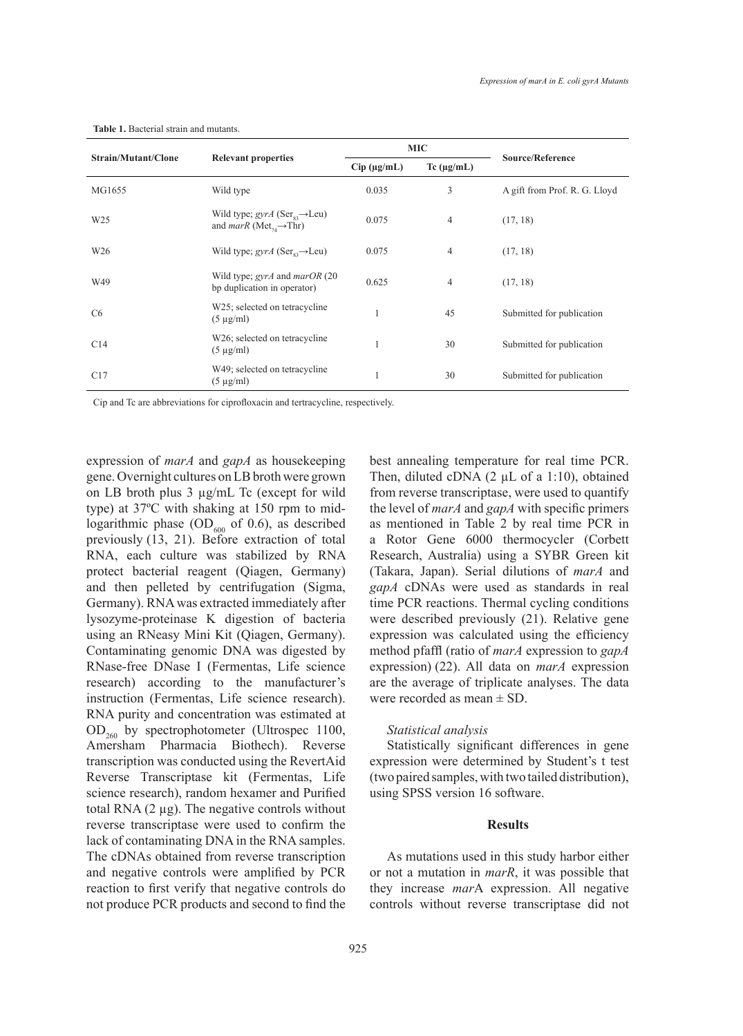| <b>Strain/Mutant/Clone</b> | <b>Relevant properties</b>                                                                                       | <b>MIC</b>          |                    |                               |
|----------------------------|------------------------------------------------------------------------------------------------------------------|---------------------|--------------------|-------------------------------|
|                            |                                                                                                                  | $Cip$ ( $\mu$ g/mL) | $Tc$ ( $\mu$ g/mL) | <b>Source/Reference</b>       |
| MG1655                     | Wild type                                                                                                        | 0.035               | 3                  | A gift from Prof. R. G. Lloyd |
| W <sub>25</sub>            | Wild type; $gyrA$ (Ser <sub>s3</sub> $\rightarrow$ Leu)<br>and <i>marR</i> (Met <sub>74</sub> $\rightarrow$ Thr) | 0.075               | $\overline{4}$     | (17, 18)                      |
| W <sub>26</sub>            | Wild type; $gyrA$ (Ser <sub>ex</sub> $\rightarrow$ Leu)                                                          | 0.075               | $\overline{4}$     | (17, 18)                      |
| W49                        | Wild type; gyrA and marOR (20)<br>bp duplication in operator)                                                    | 0.625               | $\overline{4}$     | (17, 18)                      |
| C <sub>6</sub>             | W25; selected on tetracycline<br>$(5 \mu g/ml)$                                                                  |                     | 45                 | Submitted for publication     |
| C14                        | W26; selected on tetracycline<br>$(5 \mu g/ml)$                                                                  |                     | 30                 | Submitted for publication     |
| C17                        | W49; selected on tetracycline<br>$(5 \mu g/ml)$                                                                  |                     | 30                 | Submitted for publication     |

#### **Table 1.** Bacterial strain and mutants.

Cip and Tc are abbreviations for ciprofloxacin and tertracycline, respectively.

expression of *marA* and *gapA* as housekeeping gene. Overnight cultures on LB broth were grown on LB broth plus 3 µg/mL Tc (except for wild type) at 37ºC with shaking at 150 rpm to midlogarithmic phase  $OD_{600}$  of 0.6), as described previously (13, 21). Before extraction of total RNA, each culture was stabilized by RNA protect bacterial reagent (Qiagen, Germany) and then pelleted by centrifugation (Sigma, Germany). RNA was extracted immediately after lysozyme-proteinase K digestion of bacteria using an RNeasy Mini Kit (Qiagen, Germany). Contaminating genomic DNA was digested by RNase-free DNase I (Fermentas, Life science research) according to the manufacturer's instruction (Fermentas, Life science research). RNA purity and concentration was estimated at  $OD_{260}$  by spectrophotometer (Ultrospec 1100, Amersham Pharmacia Biothech). Reverse transcription was conducted using the RevertAid Reverse Transcriptase kit (Fermentas, Life science research), random hexamer and Purified total RNA  $(2 \mu g)$ . The negative controls without reverse transcriptase were used to confirm the lack of contaminating DNA in the RNA samples. The cDNAs obtained from reverse transcription and negative controls were amplified by PCR reaction to first verify that negative controls do not produce PCR products and second to find the best annealing temperature for real time PCR. Then, diluted cDNA (2 µL of a 1:10), obtained from reverse transcriptase, were used to quantify the level of *marA* and *gapA* with specific primers as mentioned in Table 2 by real time PCR in a Rotor Gene 6000 thermocycler (Corbett Research, Australia) using a SYBR Green kit (Takara, Japan). Serial dilutions of *marA* and *gapA* cDNAs were used as standards in real time PCR reactions. Thermal cycling conditions were described previously (21). Relative gene expression was calculated using the efficiency method pfaffl (ratio of *marA* expression to *gapA* expression) (22). All data on *marA* expression are the average of triplicate analyses. The data were recorded as mean ± SD.

# *Statistical analysis*

Statistically significant differences in gene expression were determined by Student's t test (two paired samples, with two tailed distribution), using SPSS version 16 software.

# **Results**

As mutations used in this study harbor either or not a mutation in *marR*, it was possible that they increase *mar*A expression. All negative controls without reverse transcriptase did not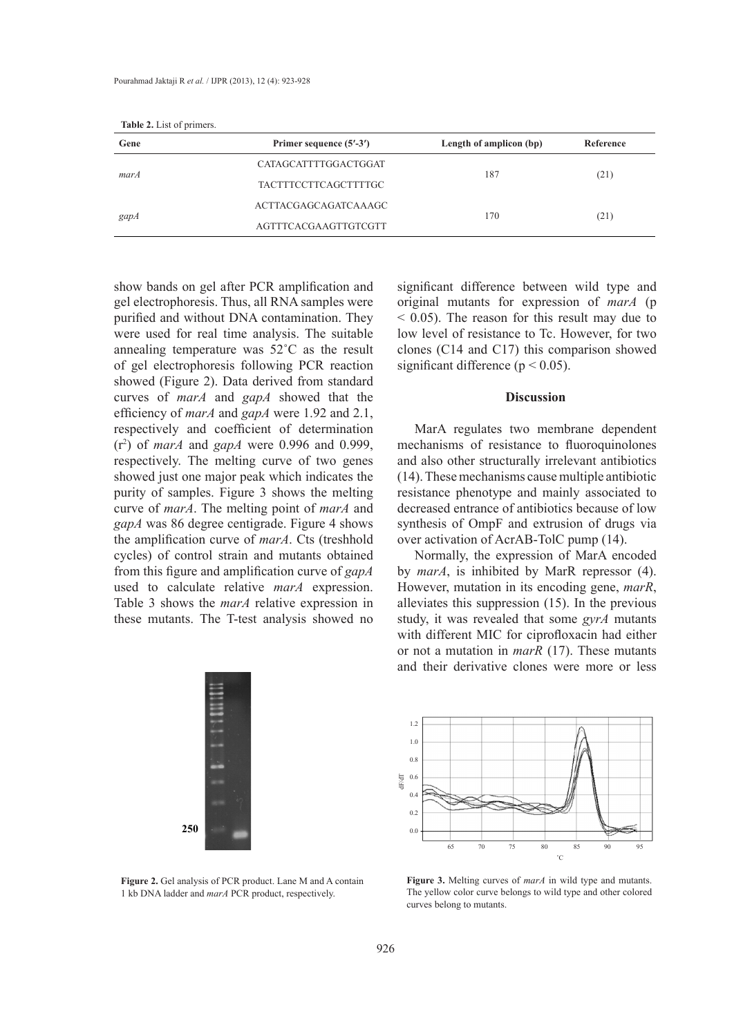*marA* CATAGCATTTTGGACTGGAT 187 (21)

| <b>Table 2.</b> List of primers. |                             |                         |           |
|----------------------------------|-----------------------------|-------------------------|-----------|
| Gene                             | Primer sequence (5'-3')     | Length of amplicon (bp) | Reference |
|                                  | CATAGCATTTTGGACTGGAT        | 187                     | (21)      |
| marA                             | <b>TACTTTCCTTCAGCTTTTGC</b> |                         |           |
|                                  | ACTTACGAGCAGATCAAAGC        |                         | (21)      |
| gapA                             | AGTTTCACGAAGTTGTCGTT        | 170                     |           |

From the curve of **Discussion** show bands on gel after PCR amplification and s gel electrophoresis. Thus, all RNA samples were purified and without DNA contamination. They purified and without DNA containmation. They were used for real time analysis. The suitable annealing temperature was 52<sup>°</sup>C as the result of gel electrophoresis following PCR reaction showed (Figure 2). Data derived from standard and mutants obtained were all RNA samples were well as the control of the control of the control of the control of the control of the control of the control of the control of t  $c_1$  and  $c_2$  and  $c_3$  in the state in the state of  $m$  and  $m$  showed that the efficiency of *marA* and *gapA* were 1.92 and 2.1,  $\frac{1}{2}$  and  $\frac{1}{2}$  and  $\frac{1}{2}$  and  $\frac{1}{2}$  and  $\frac{1}{2}$  and  $\frac{1}{2}$  and  $\frac{1}{2}$  and  $\frac{1}{2}$  and  $\frac{1}{2}$  and  $\frac{1}{2}$  and  $\frac{1}{2}$  and  $\frac{1}{2}$  and  $\$ respectively and coefficient of determination  $\binom{2}{3}$  of  $\binom{1}{4}$  and  $\binom{2}{3}$  and  $\binom{3}{4}$  and  $\binom{3}{4}$  and  $\binom{3}{4}$  and  $\binom{3}{4}$  and  $\binom{3}{4}$  and  $\binom{3}{4}$  and  $\binom{3}{4}$  and  $\binom{3}{4}$  and  $\binom{3}{4}$   $(r^2)$  of *marA* and *gapA* were 0.996 and 0.999, respectively. The melting curve of two genes showed just one major peak which indicates the showed just one major peak which mulcates the purity of samples. Figure 3 shows the melting curve of *marA*. The melting point of *marA* and  $\frac{1}{2}$ *gapA* was 86 degree centigrade. Figure 4 shows supply was so acgree comigrade. Tigare The was the amplification curve of *marA*. Cts (treshhold cycles) of control strain and mutants obtained from this figure and amplification curve of *gapA* showed in used to calculate relative marA expression. able 3 shows the *marA* relative *marA* expression.<br>Table 3 shows the *marA* relative expression in these mutants. The T-test analysis showed no used to calculate relative *marA* expression. curves of *marA* and *gapA* showed that the snowed just one major peak which inc  $\lim_{n \to \infty} a_n$  and  $\lim_{n \to \infty} a_n$  and  $\lim_{n \to \infty} a_n$  and  $\lim_{n \to \infty} a_n$ these mutants. The 1-test analysis si <sup>r</sup> annealing temperature was  $32 \text{ C}$  as the result respectively. The metung curve of two genes purity of *sampres*. Figure 5 shows the metung  $\frac{1}{2}$  shows the meaning and amplification curve of gap  $\frac{1}{2}$ rable 3 shows the *mark* relative expression in



**Figure 2.** Gel analysis of PCR product. Lane M and A contain **Figure 3.** Meltin Figure 3. Meltin  $\frac{1}{1}$  leader and mand PCP product respectively. 1 kb DNA ladder and *marA* PCR product, respectively. 1 kb DNA ladder and *marA* PCR product, respectively.

significant difference between wild type and original mutants for expression of *marA* (p  $<$  0.05). The reason for this result may due to S 0.05). The reason for this result hay due to low level of resistance to Tc. However, for two rever of resistance to Te. However, for two clones (C14 and C17) this comparison showed  $\text{eaction}$  significant difference ( $p < 0.05$ ). significant unterlefted between what type and  $\epsilon$  $f(x) = \frac{f(x)}{f(x)}$  of  $f(x) = \frac{f(x)}{f(x)}$  of  $f(x) = \frac{f(x)}{f(x)}$ these mutation of  $(1 + \text{and } 1)$  and  $(1 + \text{on } 6)$  and  $(1 + \text{on } 6)$ 

# original mutants for expression of *marA* (p  $D$  is cussion

nu 2.1,<br>ination MarA regulates two membrane dependent 0.999, mechanisms of resistance to fluoroquinolones genes and also other structurally irrelevant antibiotics genes and also offer structurity increasing antibiotics ites the (14). These mechanisms cause multiple antibiotic melting resistance phenotype and mainly associated to  $rA$  and decreased entrance of antibiotics because of low synthesis of OmpF and extrusion of drugs via by national of  $AcrAB-TolC pump (14)$ . low level of resistance to Tc. However, for two **Discussion** water regulates two including dependent  $\frac{1}{\sqrt{1-\frac{1}{\sqrt{1-\frac{1}{\sqrt{1-\frac{1}{\sqrt{1-\frac{1}{\sqrt{1-\frac{1}{\sqrt{1-\frac{1}{\sqrt{1-\frac{1}{\sqrt{1-\frac{1}{\sqrt{1-\frac{1}{\sqrt{1-\frac{1}{\sqrt{1-\frac{1}{\sqrt{1-\frac{1}{\sqrt{1-\frac{1}{\sqrt{1-\frac{1}{\sqrt{1-\frac{1}{\sqrt{1-\frac{1}{\sqrt{1-\frac{1}{\sqrt{1-\frac{1}{\sqrt{1-\frac{1}{\sqrt{1-\frac{1}{\sqrt{1-\frac{1}{\sqrt{1-\frac{1}{\sqrt{1-\frac{1}{\sqrt{1-\frac{1$ 

ined Mormally, the expression of MarA encoded by *marA*, is inhibited by MarR repressor (4). ession. However, mutation in its encoding gene,  $mark$ ,  $\frac{1}{100}$ sion in alleviates this suppression  $(15)$ . In the previous  $r_{\text{end}}$  and  $r_{\text{end}}$  are viately and suppression (15). In the previous ved no study, it was revealed that some *gyrA* mutants with different MIC for ciprofloxacin had either with different MIC for Ciprofioxacin had entier<br>or not a mutation in *marR* (17). These mutants and their derivative clones were more or less ved no study, it was revealed that and their derivative elones by *main*, is inhibited by widin repressor  $(4)$ .  $\frac{1}{2}$  and  $\frac{1}{2}$  and  $\frac{1}{2}$  and  $\frac{1}{2}$  and  $\frac{1}{2}$  and  $\frac{1}{2}$  and  $\frac{1}{2}$  and  $\frac{1}{2}$  and  $\frac{1}{2}$  and  $\frac{1}{2}$  and  $\frac{1}{2}$  and  $\frac{1}{2}$  and  $\frac{1}{2}$  and  $\frac{1}{2}$  and  $\frac{1}{2}$  and  $\frac{1}{2}$  a study, it was revealed that some  $gy/A$  ind or not a mutation in *mark*  $(1)$ . These mutatis and their derivative clones were more or ress



**Figure 3.** Melting curves of *marA* in wild type and mutants. ّ**Figure 3.** Melting curves of *marA* in wild type and mutants. The yellow color curve belongs to wild type and other colored curves belong to mutants. **Figure 3.** Melling curves of *marA* in wild type and multimes.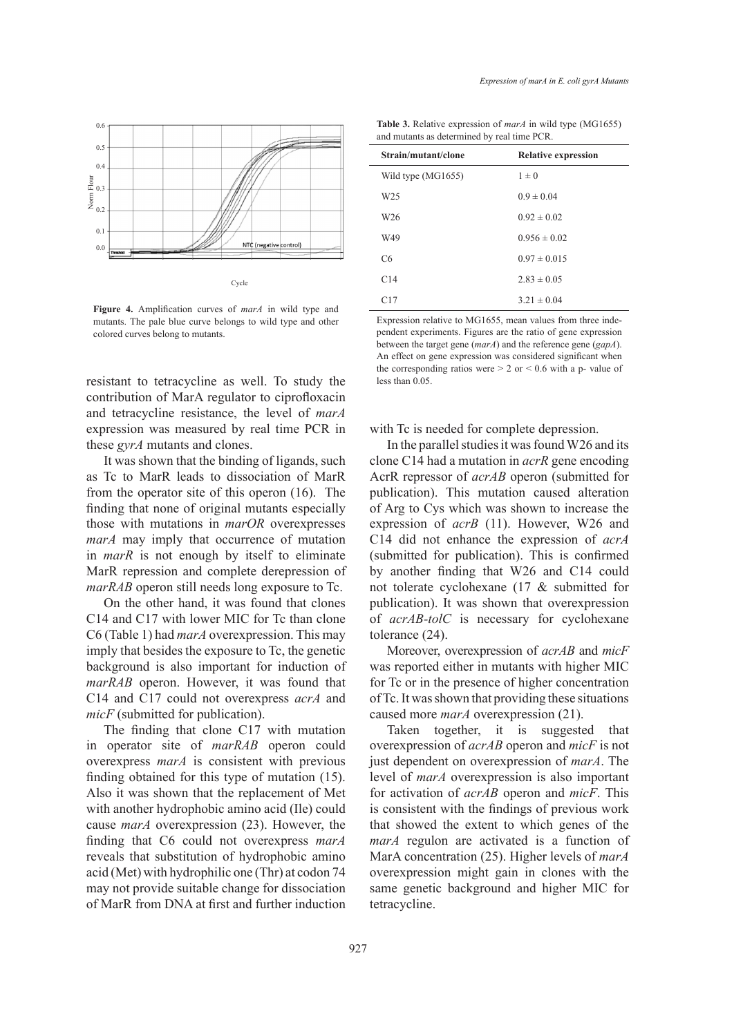

**Figure 4.** Amplification curves of *marA* in wild type and mutants. The pale blue curve belongs to wild type and other colored curves belong to mutants. **Figure 4.** Amplification curves

contribution of MarA regulator to ciprofloxacin and tetracycline resistance, the level of *marA* expression was measured by real time PCR in these  $gyrA$  mutants and clones. these *gyrA* mutants and clones.

It was shown that the binding of ligands, such It was shown that the binding of ligands, such as Tc to MarR leads to dissociation of MarR from the operator site of this operon  $(16)$ . The finding that none of original mutants especially those with mutations in *marOR* overexpresses *marA* may imply that occurrence of mutation in *marR* is not enough by itself to eliminate those with mutations in *marOR* overexpresses<br>*marA* may imply that occurrence of mutation<br>in *marR* is not enough by itself to eliminate<br>MarR repression and complete derepression of *marRAB* operon still needs long exposure to Tc.

On the other hand, it was found that clones C14 and C17 with lower MIC for Tc than clone C14 and C17 with lower MIC for Tc than clone C6 (Table 1) had *marA* overexpression. This may imply that besides the exposure to Tc, the genetic background is also important for induction of *marRAB* operon. However, it was found that C14 and C17 could not overexpress *acrA* and *micF* (submitted for publication). background is also important for induction of *marRAB* operon. However, it was found that C14 and C17 could not overexpress *acrA* and *micF* (submitted for publication).

The finding that clone C17 with mutation in operator site of *marRAB* operon could in operator site of *marRAB* operon could overexpress *marA* is consistent with previous finding obtained for this type of mutation (15). Also it was shown that the replacement of Met with another hydrophobic amino acid (Ile) could with another hydrophobic amino acid (Ile) could cause *marA* overexpression (23). However, the finding that C6 could not overexpress marA reveals that substitution of hydrophobic amino reveals that substitution of hydrophobic amino acid (Met) with hydrophilic one (Thr) at codon 74 may not provide suitable change for dissociation may not provide suitable change for dissociation<br>of MarR from DNA at first and further induction

**Table 3.** Relative expression of *marA* in wild type (MG1655) and mutants as determined by real time PCR.

| <b>Table 3.</b> Relative expression of <i>marA</i> in wild type (MG1655)<br>and mutants as determined by real time PCR. |                            |  |  |  |
|-------------------------------------------------------------------------------------------------------------------------|----------------------------|--|--|--|
| Strain/mutant/clone                                                                                                     | <b>Relative expression</b> |  |  |  |
| Wild type (MG1655)                                                                                                      | $1 \pm 0$                  |  |  |  |
| W25                                                                                                                     | $0.9 \pm 0.04$             |  |  |  |
| W <sub>26</sub>                                                                                                         | $0.92 \pm 0.02$            |  |  |  |
| W49                                                                                                                     | $0.956 \pm 0.02$           |  |  |  |
| C6                                                                                                                      | $0.97 \pm 0.015$           |  |  |  |
| C14                                                                                                                     | $2.83 \pm 0.05$            |  |  |  |
| C17                                                                                                                     | $3.21 \pm 0.04$            |  |  |  |
| Expression relative to MG1655, mean values from three inde-                                                             |                            |  |  |  |

Expression relative to MG1655, mean values from three independent experiments. Figures are the ratio of gene expression between the target gene (*marA*) and the reference gene (*gapA*). An effect on gene expression was considered significant when the corresponding ratios were  $> 2$  or  $< 0.6$  with a p- value of less than 0.05. colored curves belong to mutants.<br>
pendent experiments. Figures are the ratio of gene expression<br>
between the target gene (*marA*) and the reference gene (*gapA*).<br>
An effect on gene expression was considered significant

# with Tc is needed for complete depression.

In the parallel studies it was found W26 and its clone C14 had a mutation in *acrR* gene encoding AcrR repressor of *acrAB* operon (submitted for In the parallel studies it was found W26 and its<br>clone C14 had a mutation in  $acrR$  gene encoding<br>AcrR repressor of  $acrAB$  operon (submitted for<br>publication). This mutation caused alteration of Arg to Cys which was shown to increase the of Arg to Cys which was shown to increase the expression of *acrB* (11). However, W26 and C14 did not enhance the expression of *acrA* (submitted for publication). This is confirmed by another finding that W26 and C14 could not tolerate cyclohexane (17 & submitted for publication). It was shown that overexpression of *acrAB-tolC* is necessary for cyclohexane tolerance (24). tolerance (24). (submitted for publication). This is confirmed<br>by another finding that W26 and C14 could<br>not tolerate cyclohexane (17 & submitted for<br>publication). It was shown that overexpression

Moreover, overexpression of *acrAB* and *micF* was reported either in mutants with higher MIC for Tc or in the presence of higher concentration for Tc or in the presence of higher concentration of Tc. It was shown that providing these situations caused more *marA* overexpression (21).

Taken together, it is suggested that overexpression of *acrAB* operon and *micF* is not just dependent on overexpression of *marA*. The level of *marA* overexpression is also important for activation of *acrAB* operon and *micF*. This for activation of *acrAB* operon and *micF*. This is consistent with the findings of previous work that showed the extent to which genes of the *marA* regulon are activated is a function of MarA concentration (25). Higher levels of *marA* overexpression might gain in clones with the overexpression might gain in clones with the same genetic background and higher MIC for tetracycline. Taken together, it is suggested that overexpression of *acrAB* operon and *micF* is not just dependent on overexpression of *marA*. The